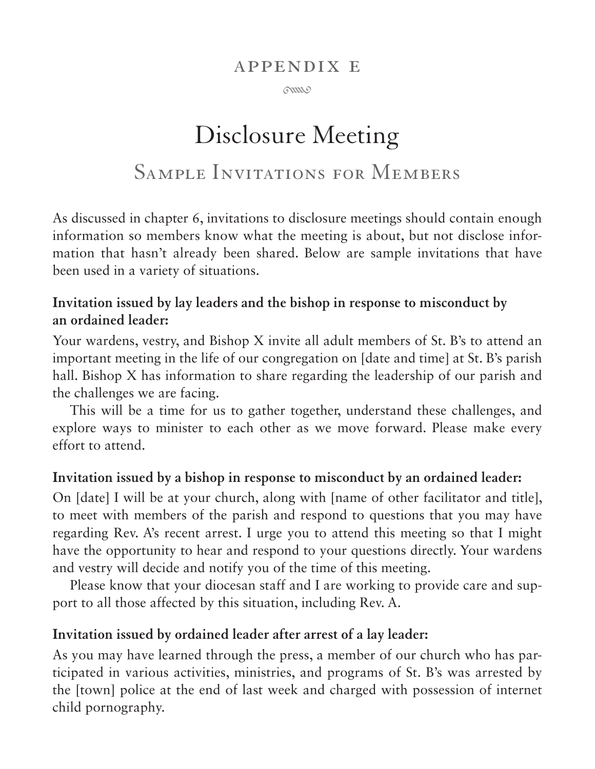## appendix e

 $60000$ 

# Disclosure Meeting SAMPLE INVITATIONS FOR MEMBERS

As discussed in chapter 6, invitations to disclosure meetings should contain enough information so members know what the meeting is about, but not disclose information that hasn't already been shared. Below are sample invitations that have been used in a variety of situations.

## **Invitation issued by lay leaders and the bishop in response to misconduct by an ordained leader:**

Your wardens, vestry, and Bishop X invite all adult members of St. B's to attend an important meeting in the life of our congregation on [date and time] at St. B's parish hall. Bishop X has information to share regarding the leadership of our parish and the challenges we are facing.

This will be a time for us to gather together, understand these challenges, and explore ways to minister to each other as we move forward. Please make every effort to attend.

#### **Invitation issued by a bishop in response to misconduct by an ordained leader:**

On [date] I will be at your church, along with [name of other facilitator and title], to meet with members of the parish and respond to questions that you may have regarding Rev. A's recent arrest. I urge you to attend this meeting so that I might have the opportunity to hear and respond to your questions directly. Your wardens and vestry will decide and notify you of the time of this meeting.

Please know that your diocesan staff and I are working to provide care and support to all those affected by this situation, including Rev. A.

## **Invitation issued by ordained leader after arrest of a lay leader:**

As you may have learned through the press, a member of our church who has participated in various activities, ministries, and programs of St. B's was arrested by the [town] police at the end of last week and charged with possession of internet child pornography.